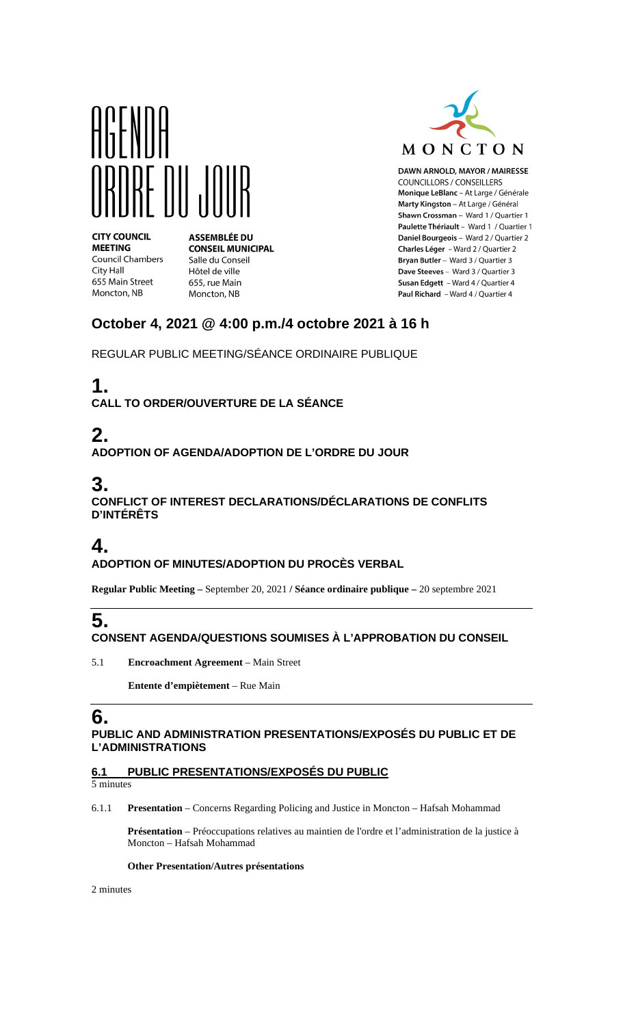



**DAWN ARNOLD, MAYOR / MAIRESSE COUNCILLORS / CONSEILLERS** Monique LeBlanc - At Large / Générale Marty Kingston - At Large / Général Shawn Crossman - Ward 1 / Quartier 1 Paulette Thériault - Ward 1 / Quartier 1 Daniel Bourgeois - Ward 2 / Quartier 2 Charles Léger - Ward 2 / Quartier 2 Bryan Butler - Ward 3 / Quartier 3 Dave Steeves - Ward 3 / Ouartier 3 Susan Edgett - Ward 4 / Quartier 4 Paul Richard - Ward 4 / Quartier 4

**Council Chambers** City Hall 655 Main Street Moncton, NB

**CITY COUNCIL** 

**MEETING** 

**ASSEMBLÉE DU CONSEIL MUNICIPAL** Salle du Conseil Hôtel de ville 655, rue Main Moncton, NB

# **October 4, 2021 @ 4:00 p.m./4 octobre 2021 à 16 h**

REGULAR PUBLIC MEETING/SÉANCE ORDINAIRE PUBLIQUE

# **1.**

**CALL TO ORDER/OUVERTURE DE LA SÉANCE**

# **2.**

**ADOPTION OF AGENDA/ADOPTION DE L'ORDRE DU JOUR**

# **3.**

**CONFLICT OF INTEREST DECLARATIONS/DÉCLARATIONS DE CONFLITS D'INTÉRÊTS**

## **4. ADOPTION OF MINUTES/ADOPTION DU PROCÈS VERBAL**

**Regular Public Meeting –** September 20, 2021 **/ Séance ordinaire publique –** 20 septembre 2021

# **5.**

## **CONSENT AGENDA/QUESTIONS SOUMISES À L'APPROBATION DU CONSEIL**

5.1 **Encroachment Agreement** – Main Street

**Entente d'empiètement** – Rue Main

# **6.**

### **PUBLIC AND ADMINISTRATION PRESENTATIONS/EXPOSÉS DU PUBLIC ET DE L'ADMINISTRATIONS**

## **6.1 PUBLIC PRESENTATIONS/EXPOSÉS DU PUBLIC**

5 minutes

6.1.1 **Presentation** – Concerns Regarding Policing and Justice in Moncton – Hafsah Mohammad

**Présentation** – Préoccupations relatives au maintien de l'ordre et l'administration de la justice à Moncton – Hafsah Mohammad

#### **Other Presentation/Autres présentations**

2 minutes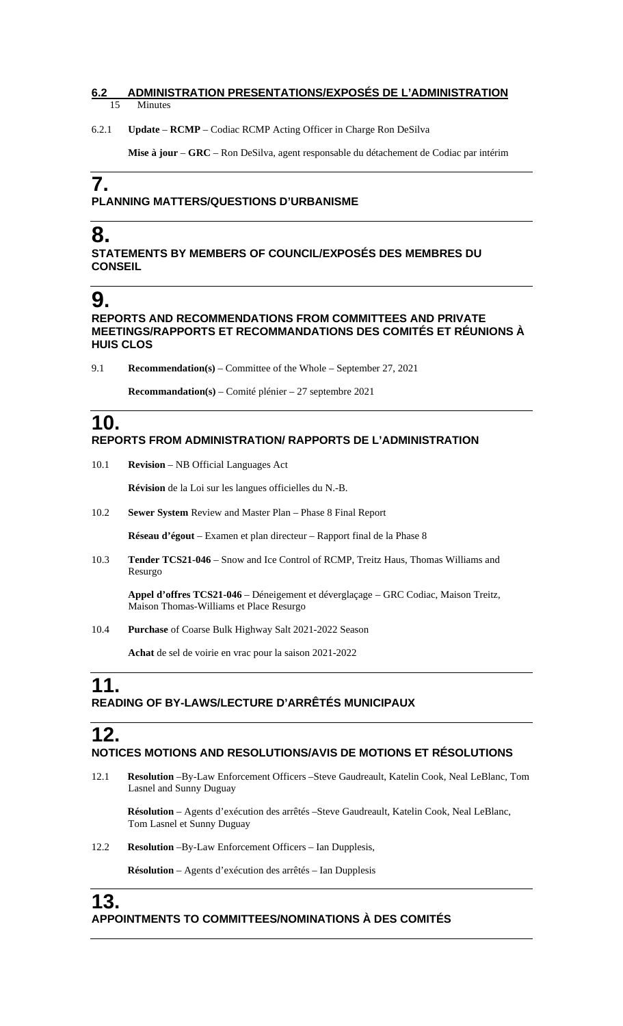#### **6.2 ADMINISTRATION PRESENTATIONS/EXPOSÉS DE L'ADMINISTRATION** 15 Minutes

6.2.1 **Update** – **RCMP** – Codiac RCMP Acting Officer in Charge Ron DeSilva

**Mise à jour** – **GRC** – Ron DeSilva, agent responsable du détachement de Codiac par intérim

## **7.**

### **PLANNING MATTERS/QUESTIONS D'URBANISME**

## **8.**

**STATEMENTS BY MEMBERS OF COUNCIL/EXPOSÉS DES MEMBRES DU CONSEIL**

# **9.**

**REPORTS AND RECOMMENDATIONS FROM COMMITTEES AND PRIVATE MEETINGS/RAPPORTS ET RECOMMANDATIONS DES COMITÉS ET RÉUNIONS À HUIS CLOS**

9.1 **Recommendation(s)** – Committee of the Whole – September 27, 2021

**Recommandation(s)** – Comité plénier – 27 septembre 2021

## **10. REPORTS FROM ADMINISTRATION/ RAPPORTS DE L'ADMINISTRATION**

10.1 **Revision** – NB Official Languages Act

**Révision** de la Loi sur les langues officielles du N.-B.

10.2 **Sewer System** Review and Master Plan – Phase 8 Final Report

**Réseau d'égout** – Examen et plan directeur – Rapport final de la Phase 8

10.3 **Tender TCS21-046** – Snow and Ice Control of RCMP, Treitz Haus, Thomas Williams and Resurgo

**Appel d'offres TCS21-046** – Déneigement et déverglaçage – GRC Codiac, Maison Treitz, Maison Thomas-Williams et Place Resurgo

10.4 **Purchase** of Coarse Bulk Highway Salt 2021-2022 Season

**Achat** de sel de voirie en vrac pour la saison 2021-2022

### **11. READING OF BY-LAWS/LECTURE D'ARRÊTÉS MUNICIPAUX**

### **12. NOTICES MOTIONS AND RESOLUTIONS/AVIS DE MOTIONS ET RÉSOLUTIONS**

12.1 **Resolution** –By-Law Enforcement Officers –Steve Gaudreault, Katelin Cook, Neal LeBlanc, Tom Lasnel and Sunny Duguay

**Résolution** – Agents d'exécution des arrêtés –Steve Gaudreault, Katelin Cook, Neal LeBlanc, Tom Lasnel et Sunny Duguay

12.2 **Resolution** –By-Law Enforcement Officers – Ian Dupplesis,

**Résolution** – Agents d'exécution des arrêtés – Ian Dupplesis

## **13. APPOINTMENTS TO COMMITTEES/NOMINATIONS À DES COMITÉS**